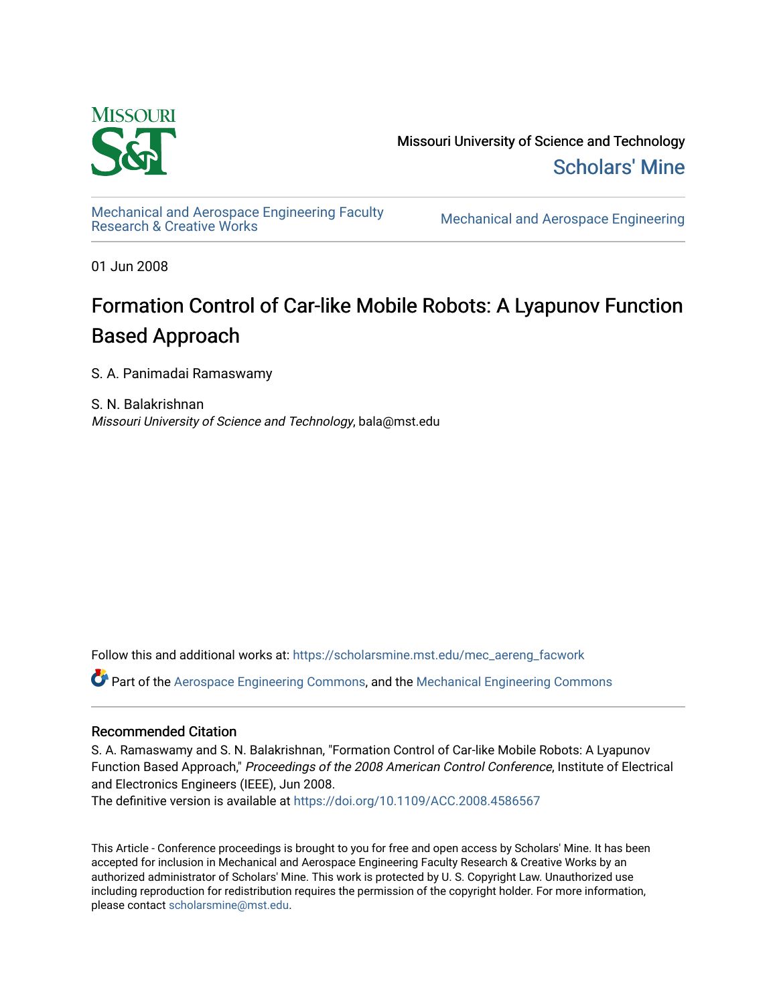

Missouri University of Science and Technology [Scholars' Mine](https://scholarsmine.mst.edu/) 

[Mechanical and Aerospace Engineering Faculty](https://scholarsmine.mst.edu/mec_aereng_facwork) 

**Mechanical and Aerospace Engineering** 

01 Jun 2008

# Formation Control of Car-like Mobile Robots: A Lyapunov Function Based Approach

S. A. Panimadai Ramaswamy

S. N. Balakrishnan Missouri University of Science and Technology, bala@mst.edu

Follow this and additional works at: [https://scholarsmine.mst.edu/mec\\_aereng\\_facwork](https://scholarsmine.mst.edu/mec_aereng_facwork?utm_source=scholarsmine.mst.edu%2Fmec_aereng_facwork%2F3364&utm_medium=PDF&utm_campaign=PDFCoverPages) 

Part of the [Aerospace Engineering Commons](http://network.bepress.com/hgg/discipline/218?utm_source=scholarsmine.mst.edu%2Fmec_aereng_facwork%2F3364&utm_medium=PDF&utm_campaign=PDFCoverPages), and the [Mechanical Engineering Commons](http://network.bepress.com/hgg/discipline/293?utm_source=scholarsmine.mst.edu%2Fmec_aereng_facwork%2F3364&utm_medium=PDF&utm_campaign=PDFCoverPages) 

### Recommended Citation

S. A. Ramaswamy and S. N. Balakrishnan, "Formation Control of Car-like Mobile Robots: A Lyapunov Function Based Approach," Proceedings of the 2008 American Control Conference, Institute of Electrical and Electronics Engineers (IEEE), Jun 2008.

The definitive version is available at <https://doi.org/10.1109/ACC.2008.4586567>

This Article - Conference proceedings is brought to you for free and open access by Scholars' Mine. It has been accepted for inclusion in Mechanical and Aerospace Engineering Faculty Research & Creative Works by an authorized administrator of Scholars' Mine. This work is protected by U. S. Copyright Law. Unauthorized use including reproduction for redistribution requires the permission of the copyright holder. For more information, please contact [scholarsmine@mst.edu.](mailto:scholarsmine@mst.edu)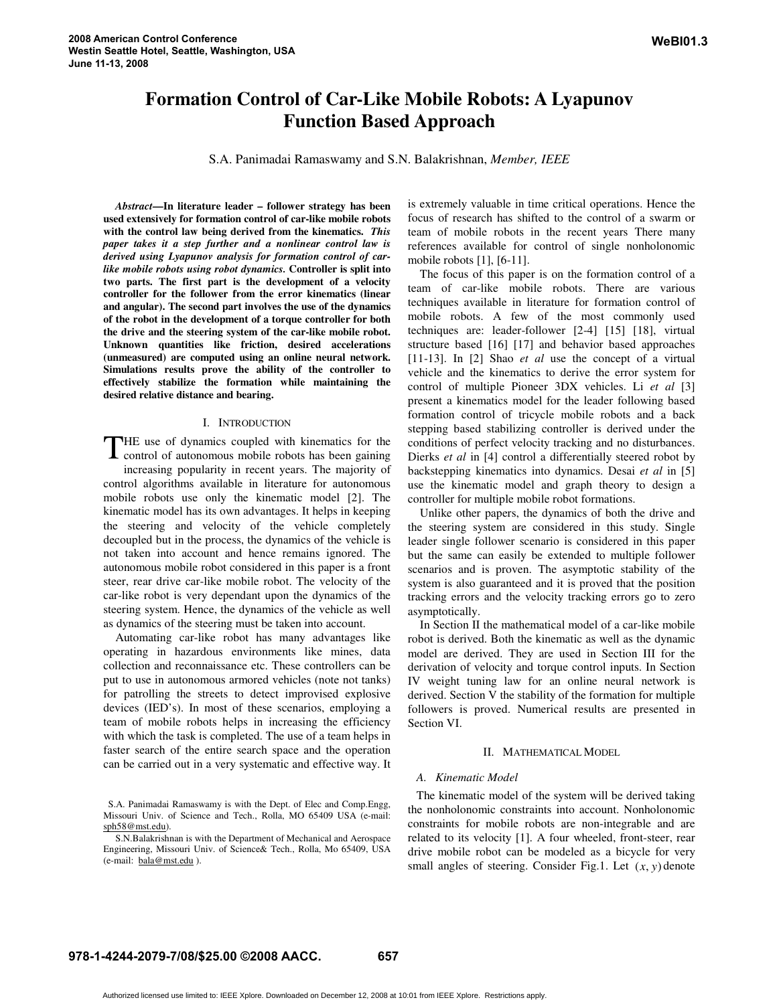## **Formation Control of Car-Like Mobile Robots: A Lyapunov Function Based Approach**

S.A. Panimadai Ramaswamy and S.N. Balakrishnan, *Member, IEEE*

*Abstract***—In literature leader – follower strategy has been used extensively for formation control of car-like mobile robots with the control law being derived from the kinematics.** *This paper takes it a step further and a nonlinear control law is derived using Lyapunov analysis for formation control of carlike mobile robots using robot dynamics.* **Controller is split into two parts. The first part is the development of a velocity controller for the follower from the error kinematics (linear and angular). The second part involves the use of the dynamics of the robot in the development of a torque controller for both the drive and the steering system of the car-like mobile robot. Unknown quantities like friction, desired accelerations (unmeasured) are computed using an online neural network. Simulations results prove the ability of the controller to effectively stabilize the formation while maintaining the desired relative distance and bearing.** 

#### I. INTRODUCTION

HE use of dynamics coupled with kinematics for the THE use of dynamics coupled with kinematics for the control of autonomous mobile robots has been gaining increasing popularity in recent years. The majority of control algorithms available in literature for autonomous mobile robots use only the kinematic model [2]. The kinematic model has its own advantages. It helps in keeping the steering and velocity of the vehicle completely decoupled but in the process, the dynamics of the vehicle is not taken into account and hence remains ignored. The autonomous mobile robot considered in this paper is a front steer, rear drive car-like mobile robot. The velocity of the car-like robot is very dependant upon the dynamics of the steering system. Hence, the dynamics of the vehicle as well as dynamics of the steering must be taken into account.

Automating car-like robot has many advantages like operating in hazardous environments like mines, data collection and reconnaissance etc. These controllers can be put to use in autonomous armored vehicles (note not tanks) for patrolling the streets to detect improvised explosive devices (IED's). In most of these scenarios, employing a team of mobile robots helps in increasing the efficiency with which the task is completed. The use of a team helps in faster search of the entire search space and the operation can be carried out in a very systematic and effective way. It

 S.A. Panimadai Ramaswamy is with the Dept. of Elec and Comp.Engg, Missouri Univ. of Science and Tech., Rolla, MO 65409 USA (e-mail: sph58@mst.edu).

S.N.Balakrishnan is with the Department of Mechanical and Aerospace Engineering, Missouri Univ. of Science& Tech., Rolla, Mo 65409, USA (e-mail: bala@mst.edu ).

is extremely valuable in time critical operations. Hence the focus of research has shifted to the control of a swarm or team of mobile robots in the recent years There many references available for control of single nonholonomic mobile robots [1], [6-11].

The focus of this paper is on the formation control of a team of car-like mobile robots. There are various techniques available in literature for formation control of mobile robots. A few of the most commonly used techniques are: leader-follower [2-4] [15] [18], virtual structure based [16] [17] and behavior based approaches [11-13]. In [2] Shao *et al* use the concept of a virtual vehicle and the kinematics to derive the error system for control of multiple Pioneer 3DX vehicles. Li *et al* [3] present a kinematics model for the leader following based formation control of tricycle mobile robots and a back stepping based stabilizing controller is derived under the conditions of perfect velocity tracking and no disturbances. Dierks *et al* in [4] control a differentially steered robot by backstepping kinematics into dynamics. Desai *et al* in [5] use the kinematic model and graph theory to design a controller for multiple mobile robot formations.

Unlike other papers, the dynamics of both the drive and the steering system are considered in this study. Single leader single follower scenario is considered in this paper but the same can easily be extended to multiple follower scenarios and is proven. The asymptotic stability of the system is also guaranteed and it is proved that the position tracking errors and the velocity tracking errors go to zero asymptotically.

In Section II the mathematical model of a car-like mobile robot is derived. Both the kinematic as well as the dynamic model are derived. They are used in Section III for the derivation of velocity and torque control inputs. In Section IV weight tuning law for an online neural network is derived. Section V the stability of the formation for multiple followers is proved. Numerical results are presented in Section VI.

### II. MATHEMATICAL MODEL

### *A. Kinematic Model*

The kinematic model of the system will be derived taking the nonholonomic constraints into account. Nonholonomic constraints for mobile robots are non-integrable and are related to its velocity [1]. A four wheeled, front-steer, rear drive mobile robot can be modeled as a bicycle for very small angles of steering. Consider Fig.1. Let  $(x, y)$  denote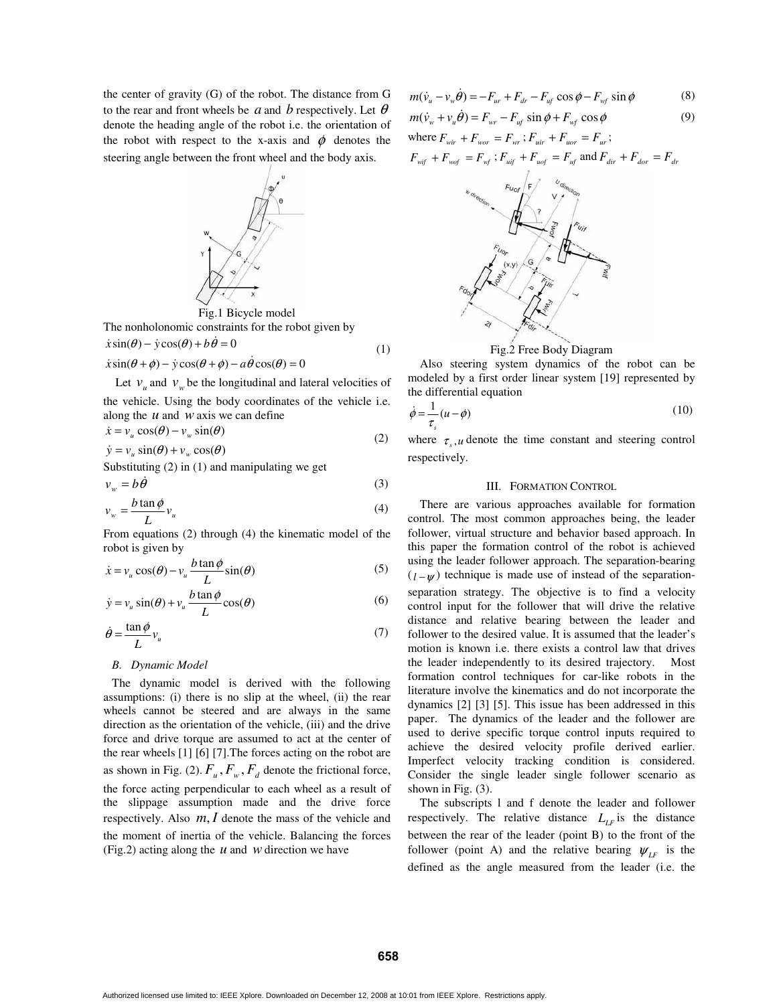the center of gravity (G) of the robot. The distance from G to the rear and front wheels be *a* and *b* respectively. Let  $\theta$ denote the heading angle of the robot i.e. the orientation of the robot with respect to the x-axis and  $\phi$  denotes the steering angle between the front wheel and the body axis.



The nonholonomic constraints for the robot given by  $\dot{x}\sin(\theta) - \dot{y}\cos(\theta) + b\dot{\theta} = 0$ 

$$
\dot{x}\sin(\theta+\phi) - \dot{y}\cos(\theta+\phi) - a\dot{\theta}\cos(\theta) = 0
$$

Let  $v_u$  and  $v_w$  be the longitudinal and lateral velocities of the vehicle. Using the body coordinates of the vehicle i.e. along the *u* and *w*axis we can define

$$
\begin{aligned} \n\dot{x} &= v_u \cos(\theta) - v_w \sin(\theta) \\ \n\dot{y} &= v_u \sin(\theta) + v_w \cos(\theta) \n\end{aligned} \tag{2}
$$

Substituting (2) in (1) and manipulating we get

$$
v_w = b\dot{\theta}
$$
 (3)

$$
v_w = \frac{b \tan \phi}{L} v_u \tag{4}
$$

From equations (2) through (4) the kinematic model of the robot is given by

$$
\dot{x} = v_u \cos(\theta) - v_u \frac{b \tan \phi}{L} \sin(\theta)
$$
\n(5)

$$
\dot{y} = v_u \sin(\theta) + v_u \frac{b \tan \phi}{L} \cos(\theta)
$$
\n(6)

$$
\dot{\theta} = \frac{\tan \phi}{L} v_u \tag{7}
$$

### *B. Dynamic Model*

The dynamic model is derived with the following assumptions: (i) there is no slip at the wheel, (ii) the rear wheels cannot be steered and are always in the same direction as the orientation of the vehicle, (iii) and the drive force and drive torque are assumed to act at the center of the rear wheels [1] [6] [7].The forces acting on the robot are as shown in Fig. (2).  $F_u$ ,  $F_w$ ,  $F_d$  denote the frictional force, the force acting perpendicular to each wheel as a result of the slippage assumption made and the drive force respectively. Also *m*,*I* denote the mass of the vehicle and the moment of inertia of the vehicle. Balancing the forces (Fig.2) acting along the  $u$  and  $w$  direction we have

$$
m(\dot{v}_u - v_w \dot{\theta}) = -F_{ur} + F_{dr} - F_{uf} \cos \phi - F_{wf} \sin \phi
$$
 (8)

$$
m(\dot{v}_w + v_u \dot{\theta}) = F_{wr} - F_{uf} \sin \phi + F_{wf} \cos \phi \tag{9}
$$

where 
$$
F_{wir} + F_{wor} = F_{wr}
$$
;  $F_{uir} + F_{uor} = F_{ur}$ ;  
\n $F_{wif} + F_{wof} = F_{wf}$ ;  $F_{uif} + F_{uof} = F_{uf}$  and  $F_{dir} + F_{dor} = F_{dr}$   
\n $F_{uof} = F_{uof} \times F_{uof}$   
\n $F_{uof} = F_{uof} \times F_{uif}$   
\n $F_{uof} = F_{uif}$   
\n $F_{uif}$   
\n $F_{uif}$   
\n $F_{uif}$   
\n $F_{uif}$   
\n $F_{uif}$   
\n $F_{uif}$   
\n $F_{uif}$   
\n $F_{uif}$   
\n $F_{uif}$   
\n $F_{uif}$ 

### Fig.2 Free Body Diagram

Also steering system dynamics of the robot can be modeled by a first order linear system [19] represented by the differential equation

$$
\dot{\phi} = \frac{1}{\tau_s} (u - \phi) \tag{10}
$$

where  $\tau_s$ , *u* denote the time constant and steering control respectively.

### III. FORMATION CONTROL

There are various approaches available for formation control. The most common approaches being, the leader follower, virtual structure and behavior based approach. In this paper the formation control of the robot is achieved using the leader follower approach. The separation-bearing  $(l - \psi)$  technique is made use of instead of the separationseparation strategy. The objective is to find a velocity control input for the follower that will drive the relative distance and relative bearing between the leader and follower to the desired value. It is assumed that the leader's motion is known i.e. there exists a control law that drives the leader independently to its desired trajectory. Most formation control techniques for car-like robots in the literature involve the kinematics and do not incorporate the dynamics [2] [3] [5]. This issue has been addressed in this paper. The dynamics of the leader and the follower are used to derive specific torque control inputs required to achieve the desired velocity profile derived earlier. Imperfect velocity tracking condition is considered. Consider the single leader single follower scenario as shown in Fig. (3).

The subscripts l and f denote the leader and follower respectively. The relative distance  $L_{LF}$  is the distance between the rear of the leader (point B) to the front of the follower (point A) and the relative bearing  $\psi_{LF}$  is the defined as the angle measured from the leader (i.e. the

(1)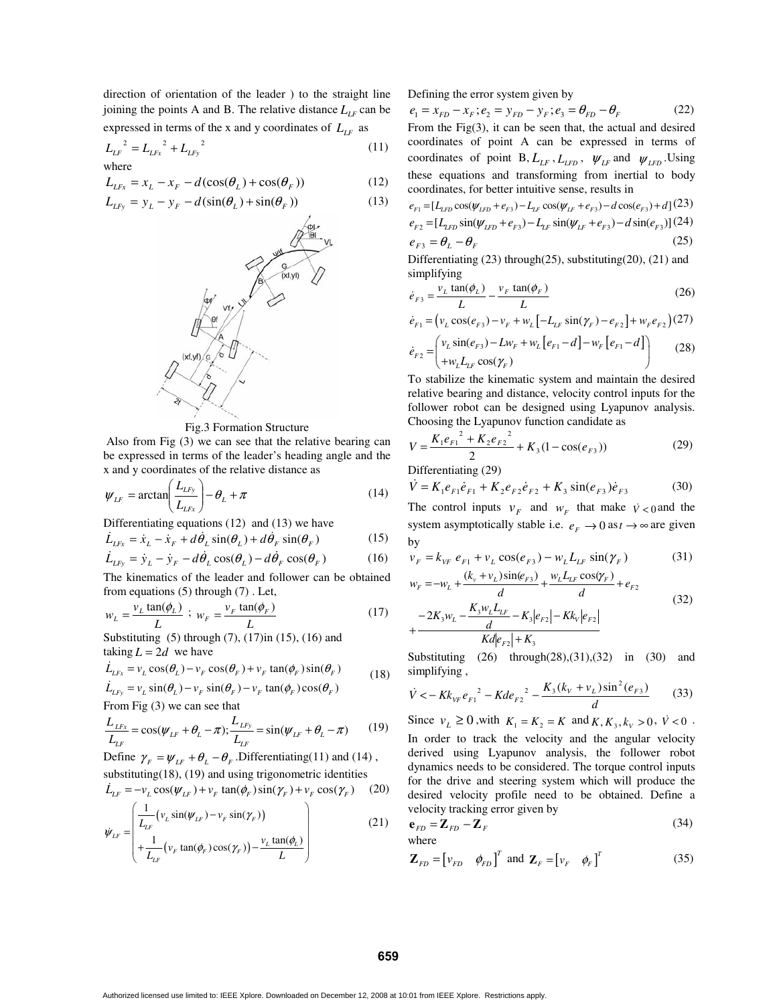direction of orientation of the leader ) to the straight line joining the points A and B. The relative distance  $L_{LF}$  can be expressed in terms of the x and y coordinates of  $L_{LF}$  as

$$
L_{LF}^{2} = L_{LFx}^{2} + L_{LFy}^{2}
$$
 (11) where

$$
L_{LFx} = x_L - x_F - d(\cos(\theta_L) + \cos(\theta_F))
$$
\n(12)

$$
L_{LFy} = y_L - y_F - d(\sin(\theta_L) + \sin(\theta_F))
$$
\n(13)



Fig.3 Formation Structure

Also from Fig (3) we can see that the relative bearing can be expressed in terms of the leader's heading angle and the x and y coordinates of the relative distance as

$$
\Psi_{LF} = \arctan\left(\frac{L_{LFy}}{L_{LFx}}\right) - \theta_L + \pi
$$
\n(14)

Differentiating equations 
$$
(12)
$$
 and  $(13)$  we have

$$
\dot{L}_{LFx} = \dot{x}_L - \dot{x}_F + d\dot{\theta}_L \sin(\theta_L) + d\dot{\theta}_F \sin(\theta_F)
$$
 (15)

$$
\dot{L}_{LFy} = \dot{y}_L - \dot{y}_F - d\dot{\theta}_L \cos(\theta_L) - d\dot{\theta}_F \cos(\theta_F)
$$
 (16)

The kinematics of the leader and follower can be obtained from equations (5) through (7) . Let,

$$
w_L = \frac{v_L \tan(\phi_L)}{L} \; ; \; w_F = \frac{v_F \tan(\phi_F)}{L} \tag{17}
$$

Substituting (5) through (7), (17)in (15), (16) and taking  $L = 2d$  we have

$$
\dot{L}_{LF_x} = v_L \cos(\theta_L) - v_F \cos(\theta_F) + v_F \tan(\phi_F) \sin(\theta_F)
$$
\n
$$
\dot{L}_{LF_y} = v_L \sin(\theta_L) - v_F \sin(\theta_F) - v_F \tan(\phi_F) \cos(\theta_F)
$$
\n(18)

From Fig (3) we can see that

$$
\frac{L_{LF}}{L_{LF}} = \cos(\psi_{LF} + \theta_L - \pi); \frac{L_{LF}}{L_{LF}} = \sin(\psi_{LF} + \theta_L - \pi)
$$
(19)

Define  $\gamma_F = \psi_{LF} + \theta_L - \theta_F$ . Differentiating(11) and (14), substituting(18), (19) and using trigonometric identities

$$
\dot{L}_{LF} = -v_L \cos(\psi_{LF}) + v_F \tan(\phi_F) \sin(\gamma_F) + v_F \cos(\gamma_F)
$$
 (20)

$$
\dot{\psi}_{LF} = \begin{pmatrix} \frac{1}{L_{LF}} \left( v_L \sin(\psi_{LF}) - v_F \sin(\gamma_F) \right) \\ + \frac{1}{L_{LF}} \left( v_F \tan(\phi_F) \cos(\gamma_F) \right) - \frac{v_L \tan(\phi_L)}{L} \end{pmatrix}
$$
(21)

Defining the error system given by

$$
e_1 = x_{FD} - x_F; e_2 = y_{FD} - y_F; e_3 = \theta_{FD} - \theta_F
$$
 (22)

From the Fig(3), it can be seen that, the actual and desired coordinates of point A can be expressed in terms of coordinates of point  $B, L_{LF}, L_{LFD}, \psi_{LF}$  and  $\psi_{LFD}$ . Using these equations and transforming from inertial to body coordinates, for better intuitive sense, results in

$$
e_{F1} = [L_{LFD}\cos(\psi_{LPD} + e_{F3}) - L_{LF}\cos(\psi_{LF} + e_{F3}) - d\cos(e_{F3}) + d] (23)
$$
  
\n
$$
e_{F2} = [L_{LFD}\sin(\psi_{LPD} + e_{F3}) - L_{LF}\sin(\psi_{LF} + e_{F3}) - d\sin(e_{F3})] (24)
$$

 $e_{F3} = \theta_L - \theta_F$  (25)

Differentiating (23) through(25), substituting(20), (21) and simplifying

$$
\dot{e}_{F3} = \frac{v_L \tan(\phi_L)}{L} - \frac{v_F \tan(\phi_F)}{L}
$$
 (26)

$$
\dot{e}_{F1} = (v_L \cos(e_{F3}) - v_F + w_L [-L_{LF} \sin(\gamma_F) - e_{F2}] + w_F e_{F2})
$$
 (27)

$$
\dot{e}_{F2} = \begin{pmatrix} v_L \sin(e_{F3}) - Lw_F + w_L \left[ e_{F1} - d \right] - w_F \left[ e_{F1} - d \right] \\ + w_L L_{LF} \cos(\gamma_F) \end{pmatrix} \tag{28}
$$

To stabilize the kinematic system and maintain the desired relative bearing and distance, velocity control inputs for the follower robot can be designed using Lyapunov analysis. Choosing the Lyapunov function candidate as

$$
V = \frac{K_1 e_{F1}^2 + K_2 e_{F2}^2}{2} + K_3 (1 - \cos(e_{F3}))
$$
 (29)

Differentiating (29)

$$
\dot{V} = K_1 e_{F1} \dot{e}_{F1} + K_2 e_{F2} \dot{e}_{F2} + K_3 \sin(e_{F3}) \dot{e}_{F3}
$$
(30)

The control inputs  $v_F$  and  $w_F$  that make  $\dot{v} < 0$  and the system asymptotically stable i.e.  $e_F \rightarrow 0$  as  $t \rightarrow \infty$  are given by

$$
v_F = k_{VF} e_{F1} + v_L \cos(e_{F3}) - w_L L_{LF} \sin(\gamma_F)
$$
 (31)

$$
w_F = -w_L + \frac{(k_v + v_L)\sin(e_{F3})}{d} + \frac{w_L L_{LF}\cos(\gamma_F)}{d} + e_{F2}
$$
\n(32)

$$
+\frac{-2K_3w_L-\frac{K_3w_LL_{LF}}{d}-K_3|e_{F2}|-Kk_v|e_{F2}|}{Kd|e_{F2}|+K_3}
$$

Substituting (26) through(28),(31),(32) in (30) and simplifying ,

$$
\dot{V} < -Kk_{VF}e_{F1}^{2} - Kde_{F2}^{2} - \frac{K_{3}(k_{V} + v_{L})\sin^{2}(e_{F3})}{d} \tag{33}
$$

Since  $v_L \ge 0$ , with  $K_1 = K_2 = K$  and  $K, K_3, k_V > 0$ ,  $\dot{V} < 0$ . In order to track the velocity and the angular velocity derived using Lyapunov analysis, the follower robot dynamics needs to be considered. The torque control inputs for the drive and steering system which will produce the desired velocity profile need to be obtained. Define a velocity tracking error given by

$$
\mathbf{e}_{FD} = \mathbf{Z}_{FD} - \mathbf{Z}_F \tag{34}
$$

where

$$
\mathbf{Z}_{FD} = \begin{bmatrix} v_{FD} & \phi_{FD} \end{bmatrix}^T \text{ and } \mathbf{Z}_F = \begin{bmatrix} v_F & \phi_F \end{bmatrix}^T \tag{35}
$$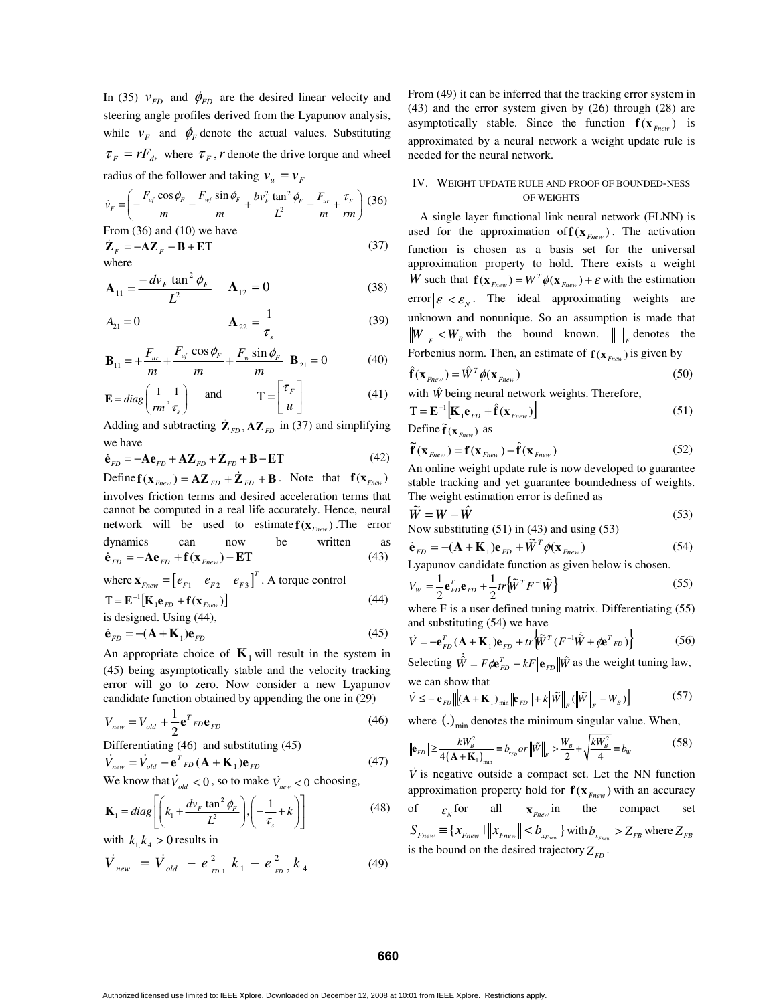In (35)  $V_{FD}$  and  $\phi_{FD}$  are the desired linear velocity and steering angle profiles derived from the Lyapunov analysis, while  $V_F$  and  $\phi_F$  denote the actual values. Substituting  $\tau_F = rF_{dr}$  where  $\tau_F$ , *r* denote the drive torque and wheel radius of the follower and taking  $v_u = v_F$ 

$$
\dot{v}_F = \left( -\frac{F_{uf} \cos \phi_F}{m} - \frac{F_{wf} \sin \phi_F}{m} + \frac{bv_F^2 \tan^2 \phi_F}{L^2} - \frac{F_{ur}}{m} + \frac{\tau_F}{rm} \right) (36)
$$

From (36) and (10) we have  $\dot{\mathbf{Z}}_F = -\mathbf{A}\mathbf{Z}_F - \mathbf{B} + \mathbf{E}\mathbf{T}$  (37)

where

$$
\mathbf{A}_{11} = \frac{-dv_F \tan^2 \phi_F}{L^2} \quad \mathbf{A}_{12} = 0 \tag{38}
$$

$$
A_{21} = 0 \t\t A_{22} = \frac{1}{\tau_s} \t\t(39)
$$

$$
\mathbf{B}_{11} = +\frac{F_{ur}}{m} + \frac{F_{uf}\cos\phi_F}{m} + \frac{F_w\sin\phi_F}{m} \quad \mathbf{B}_{21} = 0 \tag{40}
$$

$$
\mathbf{E} = diag\left(\frac{1}{rm}, \frac{1}{\tau_s}\right) \quad \text{and} \quad \mathbf{T} = \begin{bmatrix} \tau_r \\ u \end{bmatrix} \tag{41}
$$

Adding and subtracting  $\mathbf{Z}_{FD}$ ,  $\mathbf{AZ}_{FD}$  in (37) and simplifying we have

$$
\dot{\mathbf{e}}_{FD} = -\mathbf{A}\mathbf{e}_{FD} + \mathbf{A}\mathbf{Z}_{FD} + \dot{\mathbf{Z}}_{FD} + \mathbf{B} - \mathbf{E}\mathbf{T}
$$
 (42)

Define  $\mathbf{f}(\mathbf{x}_{Fnew}) = \mathbf{AZ}_{FD} + \mathbf{Z}_{FD} + \mathbf{B}$ . Note that  $\mathbf{f}(\mathbf{x}_{Fnew})$ involves friction terms and desired acceleration terms that cannot be computed in a real life accurately. Hence, neural network will be used to estimate  $f(x_{Fnew})$ . The error dynamics can now be written as  $\dot{\mathbf{e}}_{FD} = -\mathbf{A}\mathbf{e}_{FD} + \mathbf{f}(\mathbf{x}_{Fnew}) - \mathbf{E}\mathbf{T}$  (43)

where 
$$
\mathbf{x}_{F_{new}} = [e_{F1} \quad e_{F2} \quad e_{F3}]^T
$$
. A torque control  
\n
$$
T = \mathbf{E}^{-1} [\mathbf{K}_1 \mathbf{e}_{FD} + \mathbf{f}(\mathbf{x}_{F_{new}})]
$$
\nis designed. Using (44)

is designed. Using (44),

$$
\dot{\mathbf{e}}_{FD} = -(\mathbf{A} + \mathbf{K}_1)\mathbf{e}_{FD} \tag{45}
$$

An appropriate choice of  $\mathbf{K}_1$  will result in the system in (45) being asymptotically stable and the velocity tracking error will go to zero. Now consider a new Lyapunov candidate function obtained by appending the one in (29)

$$
V_{new} = V_{old} + \frac{1}{2} \mathbf{e}^T_{F} \mathbf{e}_{FD} \tag{46}
$$

Differentiating (46) and substituting (45)

$$
\dot{V}_{new} = \dot{V}_{old} - \mathbf{e}^T{}_{FD} (\mathbf{A} + \mathbf{K}_1) \mathbf{e}_{FD}
$$
(47)

We know that  $\dot{V}_{old} < 0$ , so to make  $\dot{V}_{new} < 0$  choosing,

$$
\mathbf{K}_1 = diag\left[ \left( k_1 + \frac{d v_F \tan^2 \phi_F}{L^2} \right), \left( -\frac{1}{\tau_s} + k \right) \right]
$$
(48)

with  $k_{1,}k_{4} > 0$  results in

$$
\dot{V}_{new} = \dot{V}_{old} - e_{p_1}^2 k_1 - e_{p_2}^2 k_4 \tag{49}
$$

From (49) it can be inferred that the tracking error system in (43) and the error system given by (26) through (28) are asymptotically stable. Since the function  $f(x_{Fnew})$  is approximated by a neural network a weight update rule is needed for the neural network.

### IV. WEIGHT UPDATE RULE AND PROOF OF BOUNDED-NESS OF WEIGHTS

A single layer functional link neural network (FLNN) is used for the approximation of  $f(x_{\text{Fnew}})$ . The activation function is chosen as a basis set for the universal approximation property to hold. There exists a weight *W* such that  $\mathbf{f}(\mathbf{x}_{Fnew}) = W^T \phi(\mathbf{x}_{Fnew}) + \varepsilon$  with the estimation error  $\left| \varepsilon \right| < \varepsilon_N$ . The ideal approximating weights are unknown and nonunique. So an assumption is made that  $\|W\|_F \leq W_B$  with the bound known.  $\|W\|_F$  denotes the Forbenius norm. Then, an estimate of  $f(x_{\text{Fnew}})$  is given by

$$
\hat{\mathbf{f}}(\mathbf{x}_{F_{\text{new}}}) = \hat{W}^T \phi(\mathbf{x}_{F_{\text{new}}})
$$
\n(50)

(51)

with  $\hat{W}$  being neural network weights. Therefore,

 $T = \mathbf{E}^{-1} \Big[ \mathbf{K}_1 \mathbf{e}_{FD} + \hat{\mathbf{f}}(\mathbf{x}_{Fnew}) \Big]$ Define  $\tilde{\mathbf{f}}(\mathbf{x}_{\text{Fnew}})$  as

$$
\tilde{\mathbf{f}}(\mathbf{x}_{\text{Fnew}}) = \mathbf{f}(\mathbf{x}_{\text{Fnew}}) - \hat{\mathbf{f}}(\mathbf{x}_{\text{Fnew}})
$$
\n(52)

An online weight update rule is now developed to guarantee stable tracking and yet guarantee boundedness of weights. The weight estimation error is defined as<br> $\vec{w} = w - \vec{w}$ 

$$
\widetilde{W} = W - \hat{W} \tag{53}
$$

Now substituting (51) in (43) and using (53)<br> $\dot{\phi} = (A + K) \dot{\phi} + \frac{W L}{2} A(x - k)$ 

$$
\dot{\mathbf{e}}_{FD} = -(\mathbf{A} + \mathbf{K}_1)\mathbf{e}_{FD} + \tilde{W}^T \phi(\mathbf{x}_{Fnew})
$$
 (54)

Lyapunov candidate function as given below is chosen.

$$
V_{\scriptscriptstyle W} = \frac{1}{2} \mathbf{e}_{FD}^T \mathbf{e}_{FD} + \frac{1}{2} tr \left\{ \widetilde{W}^T F^{-1} \widetilde{W} \right\} \tag{55}
$$

where F is a user defined tuning matrix. Differentiating (55) and substituting (54) we have

$$
\dot{V} = -\mathbf{e}_{FD}^T (\mathbf{A} + \mathbf{K}_1)\mathbf{e}_{FD} + tr\left\{\tilde{W}^T (F^{-1}\tilde{W} + \phi \mathbf{e}^T {F}^D)\right\}
$$
(56)

Selecting  $\dot{\hat{W}} = F \phi \mathbf{e}_{FD}^T - kF \|\mathbf{e}_{FD}\| \hat{W}$  as the weight tuning law, we can show that

$$
\dot{V} \le -\left\| \mathbf{e}_{FD} \right\| \left[ (\mathbf{A} + \mathbf{K}_1)_{\text{min}} \left\| \mathbf{e}_{FD} \right\| + k \left\| \tilde{W} \right\|_F \left( \left\| \tilde{W} \right\|_F - W_B \right) \right]
$$
 (57)

where  $\left(.\right)_{\text{min}}$  denotes the minimum singular value. When,

$$
\|\mathbf{e}_{FD}\| \ge \frac{kW_b^2}{4(\mathbf{A} + \mathbf{K}_1)_{\min}} \equiv b_{\epsilon_{FD}} or \|\tilde{W}\|_F > \frac{W_b}{2} + \sqrt{\frac{kW_b^2}{4}} \equiv b_w
$$
 (58)

*<sup>V</sup>* is negative outside a compact set. Let the NN function approximation property hold for  $f(x_{\text{Fnew}})$  with an accuracy of  $\varepsilon$ <sup>v</sup> for  $\varepsilon_{N}$  for all  $\mathbf{x}_{Fnew}$  in the compact set  ${S}_{Fnew} \equiv \{x_{Fnew} \mid ||x_{Fnew}|| < b_{x_{Fnew}}\}$  with  $b_{x_{Fnew}} > Z_{FB}$  where  $Z_{FB}$ is the bound on the desired trajectory  $Z_{FD}$ .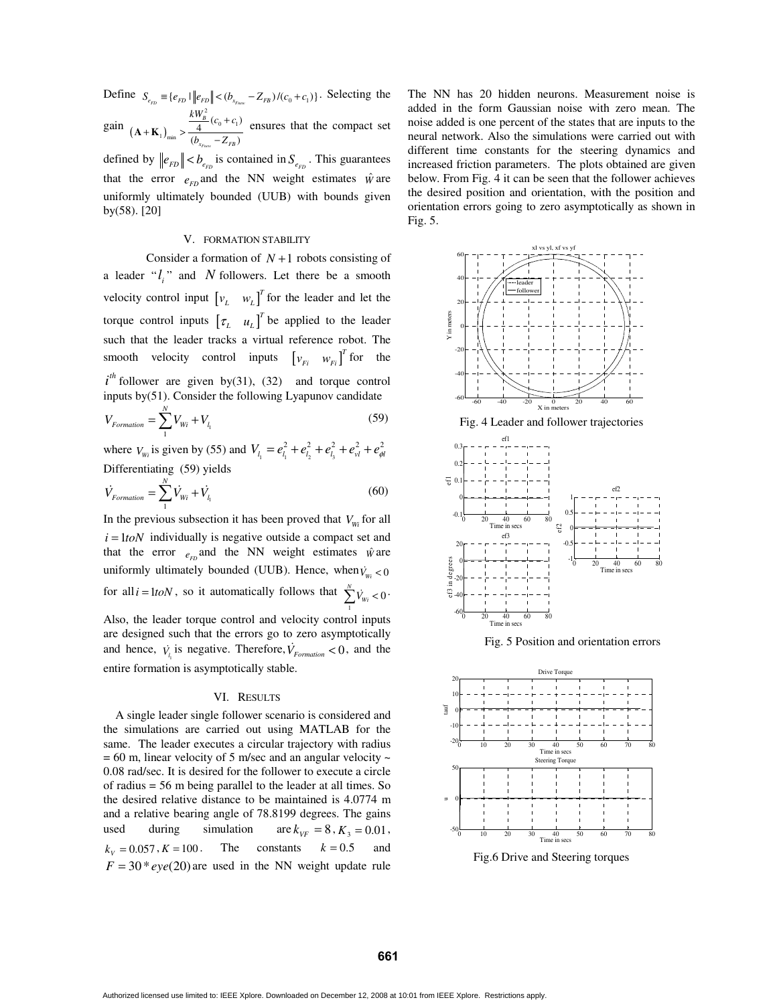Define  $S_{e_{FD}} \equiv \{e_{FD} \mid \left\| e_{FD} \right\| < (b_{x_{p_{new}}} - Z_{FB})/(c_0 + c_1) \}$ . Selecting the gain  $(A + K_1)$  $0$   $\cdot$   $\cdot$   $1$  $1 J_{\text{min}}$  $\frac{r_B}{4}(c_0 + c_1)$  $(b_{x_{r}} - Z_{FR})$ *Fnew*  $\frac{kW_B^2}{4}(c_0 + c)$  $x_{Fnew}$  *FB*  $b_{x-}$  – Z +  $(A+K_1)_{min} > \frac{4}{(b_{k-1} - Z_{FB})}$  ensures that the compact set

defined by  $||e_{FD}|| < b_{e_{FD}}$  is contained in  $S_{e_{FD}}$ . This guarantees that the error  $e_{FD}$  and the NN weight estimates  $\hat{w}$  are uniformly ultimately bounded (UUB) with bounds given by(58). [20]

### V. FORMATION STABILITY

Consider a formation of  $N+1$  robots consisting of a leader  $\partial_i$  and *N* followers. Let there be a smooth velocity control input  $\begin{bmatrix} v_L & w_L \end{bmatrix}^T$  for the leader and let the torque control inputs  $\begin{bmatrix} \tau_L & u_L \end{bmatrix}^T$  be applied to the leader such that the leader tracks a virtual reference robot. The smooth velocity control inputs  $\begin{bmatrix} v_{Fi} & w_{Fi} \end{bmatrix}^T$  for the  $i<sup>th</sup>$  follower are given by(31), (32) and torque control inputs by(51). Consider the following Lyapunov candidate *N*

$$
V_{formation} = \sum_{1}^{N} V_{Wi} + V_{I_1}
$$
\n(59)

where  $V_{w_i}$  is given by (55) and  $V_{l_1} = e_{l_1}^2 + e_{l_2}^2 + e_{l_3}^2 + e_{vl}^2 + e_{\phi l}^2$ Differentiating (59) yields

$$
\dot{V}_{Formation} = \sum_{1}^{N} \dot{V}_{Wi} + \dot{V}_{I_1}
$$
\n(60)

In the previous subsection it has been proved that  $V_{\text{Wi}}$  for all  $i = 1$ *toN* individually is negative outside a compact set and that the error  $e_{FD}$  and the NN weight estimates  $\hat{w}$  are uniformly ultimately bounded (UUB). Hence, when  $\dot{V}_{wi}$  < 0 for all  $i = 1$ *toN*, so it automatically follows that  $\sum_{w}^{N} \dot{V}_{w_i} < 0$ . 1 Also, the leader torque control and velocity control inputs

are designed such that the errors go to zero asymptotically and hence,  $\dot{V}_{i}$  is negative. Therefore,  $\dot{V}_{formation} < 0$ , and the entire formation is asymptotically stable.

### VI. RESULTS

 A single leader single follower scenario is considered and the simulations are carried out using MATLAB for the same. The leader executes a circular trajectory with radius  $= 60$  m, linear velocity of 5 m/sec and an angular velocity  $\sim$ 0.08 rad/sec. It is desired for the follower to execute a circle of radius = 56 m being parallel to the leader at all times. So the desired relative distance to be maintained is 4.0774 m and a relative bearing angle of 78.8199 degrees. The gains used during simulation are  $k_{VF} = 8$ ,  $K_3 = 0.01$ ,  $k_v = 0.057$ ,  $K = 100$ . The constants  $k = 0.5$  and  $F = 30 * eye(20)$  are used in the NN weight update rule The NN has 20 hidden neurons. Measurement noise is added in the form Gaussian noise with zero mean. The noise added is one percent of the states that are inputs to the neural network. Also the simulations were carried out with different time constants for the steering dynamics and increased friction parameters. The plots obtained are given below. From Fig. 4 it can be seen that the follower achieves the desired position and orientation, with the position and orientation errors going to zero asymptotically as shown in Fig. 5.



Fig. 4 Leader and follower trajectories



Fig. 5 Position and orientation errors



Fig.6 Drive and Steering torques